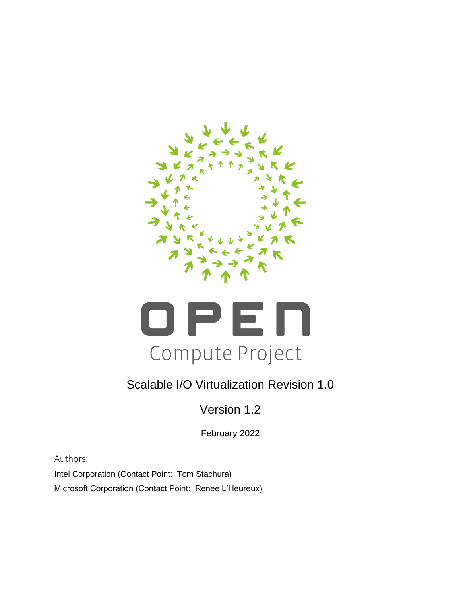



## Scalable I/O Virtualization Revision 1.0

Version 1.2

February 2022

Authors:

Intel Corporation (Contact Point: Tom Stachura) Microsoft Corporation (Contact Point: Renee L'Heureux)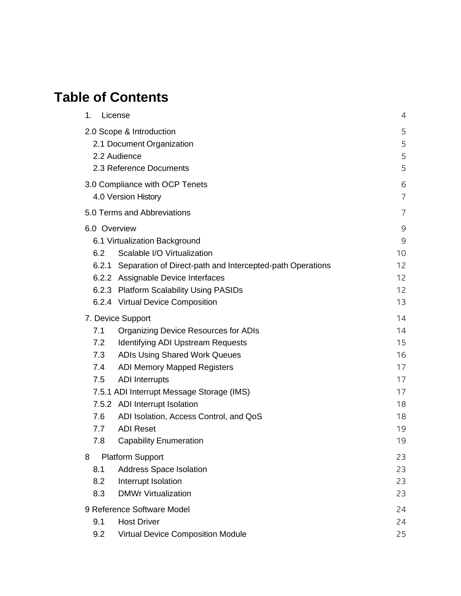# **Table of Contents**

| License<br>1.                                                   | 4           |  |
|-----------------------------------------------------------------|-------------|--|
| 2.0 Scope & Introduction                                        |             |  |
| 2.1 Document Organization                                       |             |  |
| 2.2 Audience                                                    | 5           |  |
| 2.3 Reference Documents                                         | 5           |  |
| 3.0 Compliance with OCP Tenets                                  | 6           |  |
| 4.0 Version History                                             | 7           |  |
| 5.0 Terms and Abbreviations                                     | 7           |  |
| 6.0 Overview                                                    | $\mathsf 9$ |  |
| 6.1 Virtualization Background                                   | $\mathsf 9$ |  |
| Scalable I/O Virtualization<br>6.2                              | 10          |  |
| 6.2.1 Separation of Direct-path and Intercepted-path Operations | 12          |  |
| 6.2.2 Assignable Device Interfaces                              | 12          |  |
| 6.2.3 Platform Scalability Using PASIDs                         | 12          |  |
| 6.2.4 Virtual Device Composition                                | 13          |  |
| 7. Device Support                                               | 14          |  |
| 7.1<br><b>Organizing Device Resources for ADIs</b>              | 14          |  |
| <b>Identifying ADI Upstream Requests</b><br>7.2                 | 15          |  |
| 7.3<br><b>ADIs Using Shared Work Queues</b>                     | 16          |  |
| <b>ADI Memory Mapped Registers</b><br>7.4                       | 17          |  |
| 7.5<br><b>ADI</b> Interrupts                                    | 17          |  |
| 7.5.1 ADI Interrupt Message Storage (IMS)                       | 17          |  |
| 7.5.2 ADI Interrupt Isolation                                   | 18          |  |
| 7.6<br>ADI Isolation, Access Control, and QoS                   | 18          |  |
| <b>ADI Reset</b><br>7.7                                         | 19          |  |
| 7.8<br><b>Capability Enumeration</b>                            | 19          |  |
| <b>Platform Support</b><br>8                                    | 23          |  |
| Address Space Isolation<br>8.1                                  | 23          |  |
| 8.2<br>Interrupt Isolation                                      | 23          |  |
| <b>DMWr Virtualization</b><br>8.3                               | 23          |  |
| 9 Reference Software Model                                      | 24          |  |
| 9.1<br><b>Host Driver</b>                                       | 24          |  |
| 9.2<br><b>Virtual Device Composition Module</b>                 | 25          |  |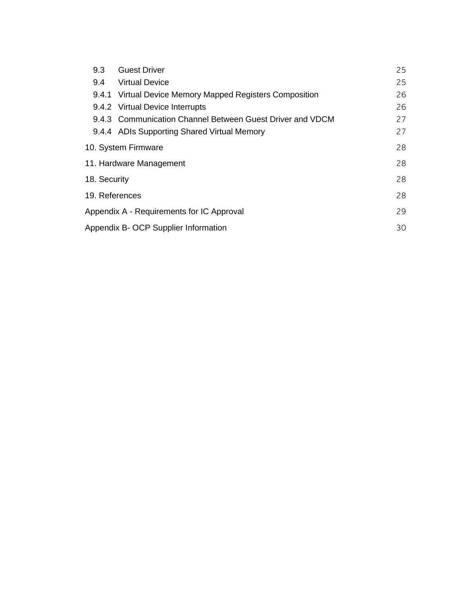| 9.3<br><b>Guest Driver</b>                               |                                                 | 25                                                        |    |
|----------------------------------------------------------|-------------------------------------------------|-----------------------------------------------------------|----|
| <b>Virtual Device</b><br>9.4                             |                                                 |                                                           | 25 |
| 9.4.1 Virtual Device Memory Mapped Registers Composition |                                                 |                                                           | 26 |
| 9.4.2 Virtual Device Interrupts                          |                                                 |                                                           | 26 |
|                                                          |                                                 | 9.4.3 Communication Channel Between Guest Driver and VDCM | 27 |
|                                                          |                                                 | 9.4.4 ADIs Supporting Shared Virtual Memory               | 27 |
|                                                          |                                                 | 10. System Firmware                                       | 28 |
|                                                          | 28<br>11. Hardware Management                   |                                                           |    |
|                                                          | 28<br>18. Security                              |                                                           |    |
|                                                          | 19. References<br>28                            |                                                           |    |
|                                                          | Appendix A - Requirements for IC Approval<br>29 |                                                           |    |
|                                                          | Appendix B- OCP Supplier Information<br>30      |                                                           |    |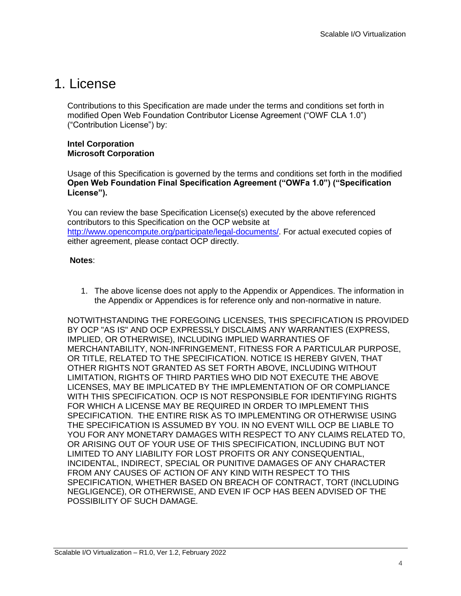## <span id="page-3-0"></span>1. License

Contributions to this Specification are made under the terms and conditions set forth in modified Open Web Foundation Contributor License Agreement ("OWF CLA 1.0") ("Contribution License") by:

#### **Intel Corporation Microsoft Corporation**

Usage of this Specification is governed by the terms and conditions set forth in the modified **Open Web Foundation Final Specification Agreement ("OWFa 1.0") ("Specification License").** 

You can review the base Specification License(s) executed by the above referenced contributors to this Specification on the OCP website at [http://www.opencompute.org/participate/legal-documents/.](http://www.opencompute.org/participate/legal-documents/) For actual executed copies of either agreement, please contact OCP directly.

#### **Notes**:

1. The above license does not apply to the Appendix or Appendices. The information in the Appendix or Appendices is for reference only and non-normative in nature.

NOTWITHSTANDING THE FOREGOING LICENSES, THIS SPECIFICATION IS PROVIDED BY OCP "AS IS" AND OCP EXPRESSLY DISCLAIMS ANY WARRANTIES (EXPRESS, IMPLIED, OR OTHERWISE), INCLUDING IMPLIED WARRANTIES OF MERCHANTABILITY, NON-INFRINGEMENT, FITNESS FOR A PARTICULAR PURPOSE, OR TITLE, RELATED TO THE SPECIFICATION. NOTICE IS HEREBY GIVEN, THAT OTHER RIGHTS NOT GRANTED AS SET FORTH ABOVE, INCLUDING WITHOUT LIMITATION, RIGHTS OF THIRD PARTIES WHO DID NOT EXECUTE THE ABOVE LICENSES, MAY BE IMPLICATED BY THE IMPLEMENTATION OF OR COMPLIANCE WITH THIS SPECIFICATION. OCP IS NOT RESPONSIBLE FOR IDENTIFYING RIGHTS FOR WHICH A LICENSE MAY BE REQUIRED IN ORDER TO IMPLEMENT THIS SPECIFICATION. THE ENTIRE RISK AS TO IMPLEMENTING OR OTHERWISE USING THE SPECIFICATION IS ASSUMED BY YOU. IN NO EVENT WILL OCP BE LIABLE TO YOU FOR ANY MONETARY DAMAGES WITH RESPECT TO ANY CLAIMS RELATED TO, OR ARISING OUT OF YOUR USE OF THIS SPECIFICATION, INCLUDING BUT NOT LIMITED TO ANY LIABILITY FOR LOST PROFITS OR ANY CONSEQUENTIAL, INCIDENTAL, INDIRECT, SPECIAL OR PUNITIVE DAMAGES OF ANY CHARACTER FROM ANY CAUSES OF ACTION OF ANY KIND WITH RESPECT TO THIS SPECIFICATION, WHETHER BASED ON BREACH OF CONTRACT, TORT (INCLUDING NEGLIGENCE), OR OTHERWISE, AND EVEN IF OCP HAS BEEN ADVISED OF THE POSSIBILITY OF SUCH DAMAGE.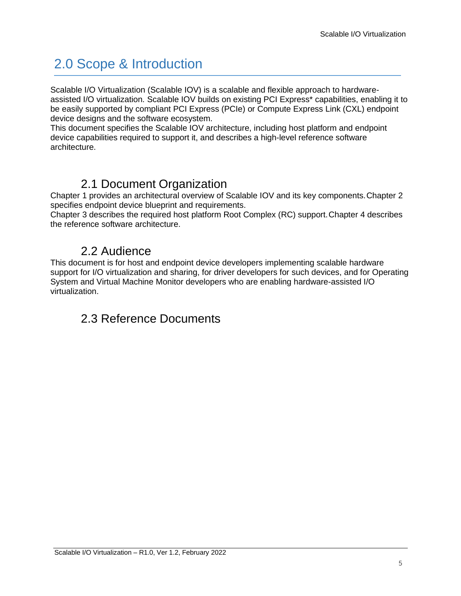# <span id="page-4-0"></span>2.0 Scope & Introduction

Scalable I/O Virtualization (Scalable IOV) is a scalable and flexible approach to hardwareassisted I/O virtualization. Scalable IOV builds on existing PCI Express\* capabilities, enabling it to be easily supported by compliant PCI Express (PCIe) or Compute Express Link (CXL) endpoint device designs and the software ecosystem.

This document specifies the Scalable IOV architecture, including host platform and endpoint device capabilities required to support it, and describes a high-level reference software architecture.

## 2.1 Document Organization

<span id="page-4-1"></span>Chapter 1 provides an architectural overview of Scalable IOV and its key components.Chapter 2 specifies endpoint device blueprint and requirements.

Chapter 3 describes the required host platform Root Complex (RC) support.Chapter 4 describes the reference software architecture.

### 2.2 Audience

<span id="page-4-3"></span><span id="page-4-2"></span>This document is for host and endpoint device developers implementing scalable hardware support for I/O virtualization and sharing, for driver developers for such devices, and for Operating System and Virtual Machine Monitor developers who are enabling hardware-assisted I/O virtualization.

## 2.3 Reference Documents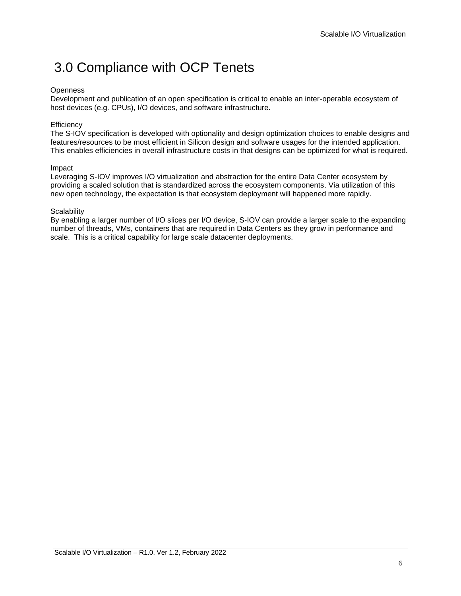## <span id="page-5-0"></span>3.0 Compliance with OCP Tenets

#### **Openness**

Development and publication of an open specification is critical to enable an inter-operable ecosystem of host devices (e.g. CPUs), I/O devices, and software infrastructure.

#### **Efficiency**

The S-IOV specification is developed with optionality and design optimization choices to enable designs and features/resources to be most efficient in Silicon design and software usages for the intended application. This enables efficiencies in overall infrastructure costs in that designs can be optimized for what is required.

#### Impact

Leveraging S-IOV improves I/O virtualization and abstraction for the entire Data Center ecosystem by providing a scaled solution that is standardized across the ecosystem components. Via utilization of this new open technology, the expectation is that ecosystem deployment will happened more rapidly.

#### **Scalability**

By enabling a larger number of I/O slices per I/O device, S-IOV can provide a larger scale to the expanding number of threads, VMs, containers that are required in Data Centers as they grow in performance and scale. This is a critical capability for large scale datacenter deployments.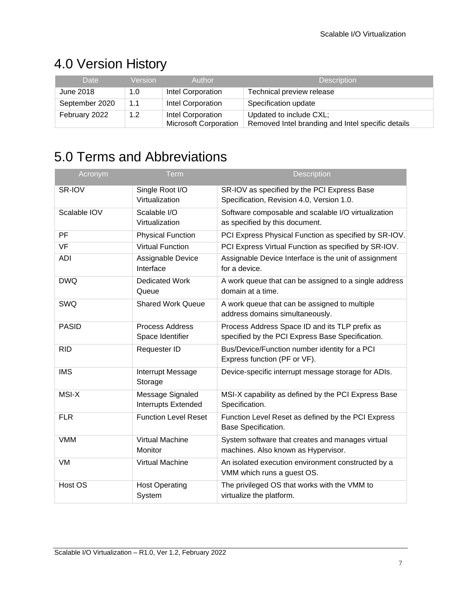# <span id="page-6-0"></span>4.0 Version History

| Date           | <b>Version</b>   | Author                                            | <b>Description</b>                                                           |
|----------------|------------------|---------------------------------------------------|------------------------------------------------------------------------------|
| June 2018      | 1.0              | Intel Corporation                                 | Technical preview release                                                    |
| September 2020 | 1.1              | Intel Corporation                                 | Specification update                                                         |
| February 2022  | 1.2 <sub>2</sub> | Intel Corporation<br><b>Microsoft Corporation</b> | Updated to include CXL;<br>Removed Intel branding and Intel specific details |

# <span id="page-6-1"></span>5.0 Terms and Abbreviations

| Acronym      | <b>Term</b>                                | <b>Description</b>                                                                                 |
|--------------|--------------------------------------------|----------------------------------------------------------------------------------------------------|
| SR-IOV       | Single Root I/O<br>Virtualization          | SR-IOV as specified by the PCI Express Base<br>Specification, Revision 4.0, Version 1.0.           |
| Scalable IOV | Scalable I/O<br>Virtualization             | Software composable and scalable I/O virtualization<br>as specified by this document.              |
| PF           | <b>Physical Function</b>                   | PCI Express Physical Function as specified by SR-IOV.                                              |
| <b>VF</b>    | <b>Virtual Function</b>                    | PCI Express Virtual Function as specified by SR-IOV.                                               |
| ADI          | Assignable Device<br>Interface             | Assignable Device Interface is the unit of assignment<br>for a device.                             |
| <b>DWQ</b>   | <b>Dedicated Work</b><br>Queue             | A work queue that can be assigned to a single address<br>domain at a time.                         |
| SWQ          | <b>Shared Work Queue</b>                   | A work queue that can be assigned to multiple<br>address domains simultaneously.                   |
| <b>PASID</b> | <b>Process Address</b><br>Space Identifier | Process Address Space ID and its TLP prefix as<br>specified by the PCI Express Base Specification. |
| <b>RID</b>   | Requester ID                               | Bus/Device/Function number identity for a PCI<br>Express function (PF or VF).                      |
| <b>IMS</b>   | Interrupt Message<br>Storage               | Device-specific interrupt message storage for ADIs.                                                |
| MSI-X        | Message Signaled<br>Interrupts Extended    | MSI-X capability as defined by the PCI Express Base<br>Specification.                              |
| <b>FLR</b>   | <b>Function Level Reset</b>                | Function Level Reset as defined by the PCI Express<br><b>Base Specification.</b>                   |
| <b>VMM</b>   | Virtual Machine<br>Monitor                 | System software that creates and manages virtual<br>machines. Also known as Hypervisor.            |
| VM           | Virtual Machine                            | An isolated execution environment constructed by a<br>VMM which runs a guest OS.                   |
| Host OS      | <b>Host Operating</b><br>System            | The privileged OS that works with the VMM to<br>virtualize the platform.                           |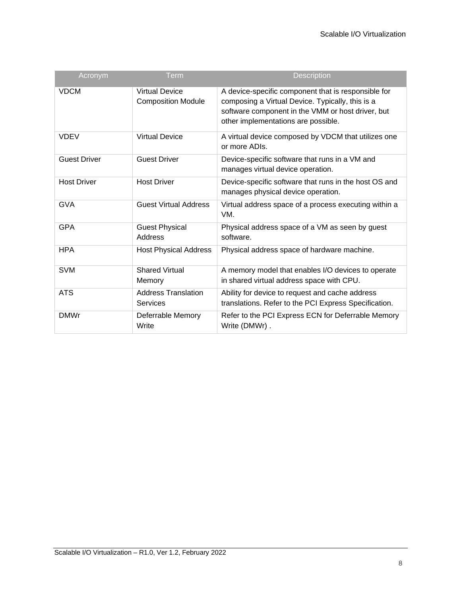| Acronym             | $T$ erm                                            | <b>Description</b>                                                                                                                                                                                  |
|---------------------|----------------------------------------------------|-----------------------------------------------------------------------------------------------------------------------------------------------------------------------------------------------------|
| <b>VDCM</b>         | <b>Virtual Device</b><br><b>Composition Module</b> | A device-specific component that is responsible for<br>composing a Virtual Device. Typically, this is a<br>software component in the VMM or host driver, but<br>other implementations are possible. |
| <b>VDEV</b>         | <b>Virtual Device</b>                              | A virtual device composed by VDCM that utilizes one<br>or more ADIs.                                                                                                                                |
| <b>Guest Driver</b> | <b>Guest Driver</b>                                | Device-specific software that runs in a VM and<br>manages virtual device operation.                                                                                                                 |
| <b>Host Driver</b>  | <b>Host Driver</b>                                 | Device-specific software that runs in the host OS and<br>manages physical device operation.                                                                                                         |
| <b>GVA</b>          | <b>Guest Virtual Address</b>                       | Virtual address space of a process executing within a<br>VM.                                                                                                                                        |
| <b>GPA</b>          | <b>Guest Physical</b><br><b>Address</b>            | Physical address space of a VM as seen by guest<br>software.                                                                                                                                        |
| <b>HPA</b>          | <b>Host Physical Address</b>                       | Physical address space of hardware machine.                                                                                                                                                         |
| <b>SVM</b>          | <b>Shared Virtual</b><br>Memory                    | A memory model that enables I/O devices to operate<br>in shared virtual address space with CPU.                                                                                                     |
| <b>ATS</b>          | <b>Address Translation</b><br>Services             | Ability for device to request and cache address<br>translations. Refer to the PCI Express Specification.                                                                                            |
| <b>DMWr</b>         | Deferrable Memory<br>Write                         | Refer to the PCI Express ECN for Deferrable Memory<br>Write (DMWr).                                                                                                                                 |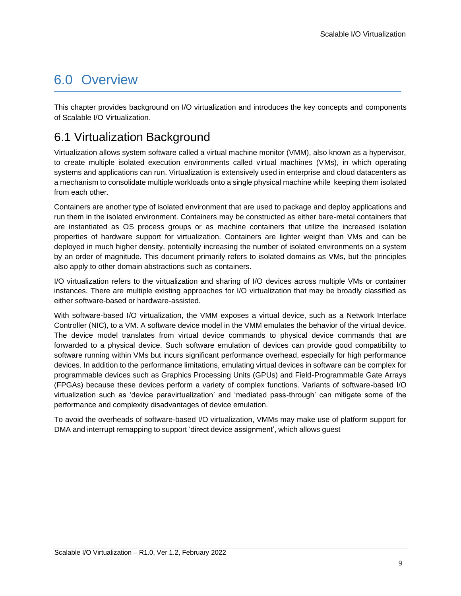## <span id="page-8-0"></span>6.0 Overview

This chapter provides background on I/O virtualization and introduces the key concepts and components of Scalable I/O Virtualization.

## <span id="page-8-1"></span>6.1 Virtualization Background

Virtualization allows system software called a virtual machine monitor (VMM), also known as a hypervisor, to create multiple isolated execution environments called virtual machines (VMs), in which operating systems and applications can run. Virtualization is extensively used in enterprise and cloud datacenters as a mechanism to consolidate multiple workloads onto a single physical machine while keeping them isolated from each other.

Containers are another type of isolated environment that are used to package and deploy applications and run them in the isolated environment. Containers may be constructed as either bare-metal containers that are instantiated as OS process groups or as machine containers that utilize the increased isolation properties of hardware support for virtualization. Containers are lighter weight than VMs and can be deployed in much higher density, potentially increasing the number of isolated environments on a system by an order of magnitude. This document primarily refers to isolated domains as VMs, but the principles also apply to other domain abstractions such as containers.

I/O virtualization refers to the virtualization and sharing of I/O devices across multiple VMs or container instances. There are multiple existing approaches for I/O virtualization that may be broadly classified as either software-based or hardware-assisted.

With software-based I/O virtualization, the VMM exposes a virtual device, such as a Network Interface Controller (NIC), to a VM. A software device model in the VMM emulates the behavior of the virtual device. The device model translates from virtual device commands to physical device commands that are forwarded to a physical device. Such software emulation of devices can provide good compatibility to software running within VMs but incurs significant performance overhead, especially for high performance devices. In addition to the performance limitations, emulating virtual devices in software can be complex for programmable devices such as Graphics Processing Units (GPUs) and Field-Programmable Gate Arrays (FPGAs) because these devices perform a variety of complex functions. Variants of software-based I/O virtualization such as 'device paravirtualization' and 'mediated pass-through' can mitigate some of the performance and complexity disadvantages of device emulation.

To avoid the overheads of software-based I/O virtualization, VMMs may make use of platform support for DMA and interrupt remapping to support 'direct device assignment', which allows guest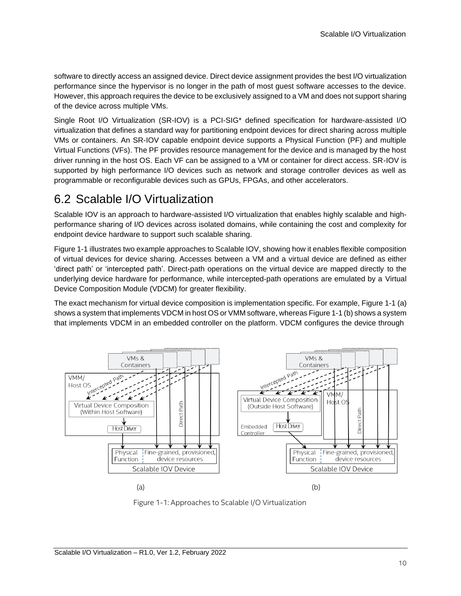software to directly access an assigned device. Direct device assignment provides the best I/O virtualization performance since the hypervisor is no longer in the path of most guest software accesses to the device. However, this approach requires the device to be exclusively assigned to a VM and does not support sharing of the device across multiple VMs.

Single Root I/O Virtualization (SR-IOV) is a PCI-SIG\* defined specification for hardware-assisted I/O virtualization that defines a standard way for partitioning endpoint devices for direct sharing across multiple VMs or containers. An SR-IOV capable endpoint device supports a Physical Function (PF) and multiple Virtual Functions (VFs). The PF provides resource management for the device and is managed by the host driver running in the host OS. Each VF can be assigned to a VM or container for direct access. SR-IOV is supported by high performance I/O devices such as network and storage controller devices as well as programmable or reconfigurable devices such as GPUs, FPGAs, and other accelerators.

### <span id="page-9-0"></span>6.2 Scalable I/O Virtualization

Scalable IOV is an approach to hardware-assisted I/O virtualization that enables highly scalable and highperformance sharing of I/O devices across isolated domains, while containing the cost and complexity for endpoint device hardware to support such scalable sharing.

Figure 1-1 illustrates two example approaches to Scalable IOV, showing how it enables flexible composition of virtual devices for device sharing. Accesses between a VM and a virtual device are defined as either 'direct path' or 'intercepted path'. Direct-path operations on the virtual device are mapped directly to the underlying device hardware for performance, while intercepted-path operations are emulated by a Virtual Device Composition Module (VDCM) for greater flexibility.

The exact mechanism for virtual device composition is implementation specific. For example, Figure 1-1 (a) shows a system that implements VDCM in host OS or VMM software, whereas Figure 1-1 (b) shows a system that implements VDCM in an embedded controller on the platform. VDCM configures the device through



Figure 1-1: Approaches to Scalable I/O Virtualization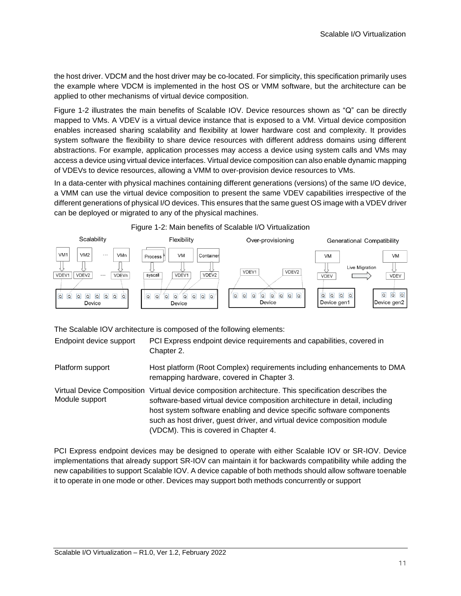the host driver. VDCM and the host driver may be co-located. For simplicity, this specification primarily uses the example where VDCM is implemented in the host OS or VMM software, but the architecture can be applied to other mechanisms of virtual device composition.

[Figure](#page-10-0) 1-2 illustrates the main benefits of Scalable IOV. Device resources shown as "Q" can be directly mapped to VMs. A VDEV is a virtual device instance that is exposed to a VM. Virtual device composition enables increased sharing scalability and flexibility at lower hardware cost and complexity. It provides system software the flexibility to share device resources with different address domains using different abstractions. For example, application processes may access a device using system calls and VMs may access a device using virtual device interfaces. Virtual device composition can also enable dynamic mapping of VDEVs to device resources, allowing a VMM to over-provision device resources to VMs.

In a data-center with physical machines containing different generations (versions) of the same I/O device, a VMM can use the virtual device composition to present the same VDEV capabilities irrespective of the different generations of physical I/O devices. This ensures that the same guest OS image with a VDEV driver can be deployed or migrated to any of the physical machines.





The Scalable IOV architecture is composed of the following elements:

Endpoint device support PCI Express endpoint device requirements and capabilities, covered in Chapter 2.

Platform support Host platform (Root Complex) requirements including enhancements to DMA remapping hardware, covered in Chapter 3.

Virtual Device Composition Virtual device composition architecture. This specification describes the Module support software-based virtual device composition architecture in detail, including host system software enabling and device specific software components such as host driver, guest driver, and virtual device composition module (VDCM). This is covered in Chapter 4.

<span id="page-10-0"></span>PCI Express endpoint devices may be designed to operate with either Scalable IOV or SR-IOV. Device implementations that already support SR-IOV can maintain it for backwards compatibility while adding the new capabilities to support Scalable IOV. A device capable of both methods should allow software toenable it to operate in one mode or other. Devices may support both methods concurrently or support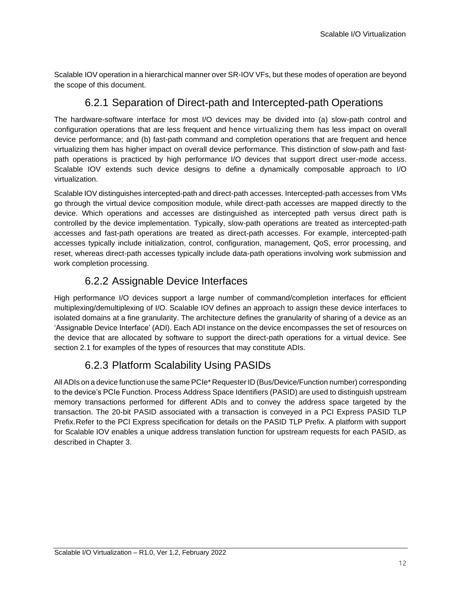<span id="page-11-0"></span>Scalable IOV operation in a hierarchical manner over SR-IOV VFs, but these modes of operation are beyond the scope of this document.

### 6.2.1 Separation of Direct-path and Intercepted-path Operations

The hardware-software interface for most I/O devices may be divided into (a) slow-path control and configuration operations that are less frequent and hence virtualizing them has less impact on overall device performance; and (b) fast-path command and completion operations that are frequent and hence virtualizing them has higher impact on overall device performance. This distinction of slow-path and fastpath operations is practiced by high performance I/O devices that support direct user-mode access. Scalable IOV extends such device designs to define a dynamically composable approach to I/O virtualization.

Scalable IOV distinguishes intercepted-path and direct-path accesses. Intercepted-path accesses from VMs go through the virtual device composition module, while direct-path accesses are mapped directly to the device. Which operations and accesses are distinguished as intercepted path versus direct path is controlled by the device implementation. Typically, slow-path operations are treated as intercepted-path accesses and fast-path operations are treated as direct-path accesses. For example, intercepted-path accesses typically include initialization, control, configuration, management, QoS, error processing, and reset, whereas direct-path accesses typically include data-path operations involving work submission and work completion processing.

### 6.2.2 Assignable Device Interfaces

<span id="page-11-1"></span>High performance I/O devices support a large number of command/completion interfaces for efficient multiplexing/demultiplexing of I/O. Scalable IOV defines an approach to assign these device interfaces to isolated domains at a fine granularity. The architecture defines the granularity of sharing of a device as an 'Assignable Device Interface' (ADI). Each ADI instance on the device encompasses the set of resources on the device that are allocated by software to support the direct-path operations for a virtual device. See section 2.1 for examples of the types of resources that may constitute ADIs.

### 6.2.3 Platform Scalability Using PASIDs

<span id="page-11-2"></span>AllADIs on a device function use the same PCIe\* Requester ID (Bus/Device/Function number) corresponding to the device's PCIe Function. Process Address Space Identifiers (PASID) are used to distinguish upstream memory transactions performed for different ADIs and to convey the address space targeted by the transaction. The 20-bit PASID associated with a transaction is conveyed in a PCI Express PASID TLP Prefix. Refer to the PCI Express specification for details on the PASID TLP Prefix. A platform with support for Scalable IOV enables a unique address translation function for upstream requests for each PASID, as described in Chapter 3.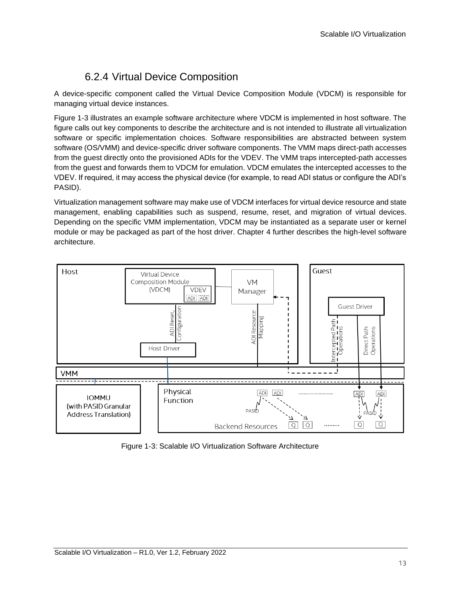### 6.2.4 Virtual Device Composition

<span id="page-12-0"></span>A device-specific component called the Virtual Device Composition Module (VDCM) is responsible for managing virtual device instances.

[Figure 1-3 il](#page-12-1)lustrates an example software architecture where VDCM is implemented in host software. The figure calls out key components to describe the architecture and is not intended to illustrate all virtualization software or specific implementation choices. Software responsibilities are abstracted between system software (OS/VMM) and device-specific driver software components. The VMM maps direct-path accesses from the guest directly onto the provisioned ADIs for the VDEV. The VMM traps intercepted-path accesses from the guest and forwards them to VDCM for emulation. VDCM emulates the intercepted accesses to the VDEV. If required, it may access the physical device (for example, to read ADI status or configure the ADI's PASID).

Virtualization management software may make use of VDCM interfaces for virtual device resource and state management, enabling capabilities such as suspend, resume, reset, and migration of virtual devices. Depending on the specific VMM implementation, VDCM may be instantiated as a separate user or kernel module or may be packaged as part of the host driver. Chapter 4 further describes the high-level software architecture.



<span id="page-12-1"></span>Figure 1-3: Scalable I/O Virtualization Software Architecture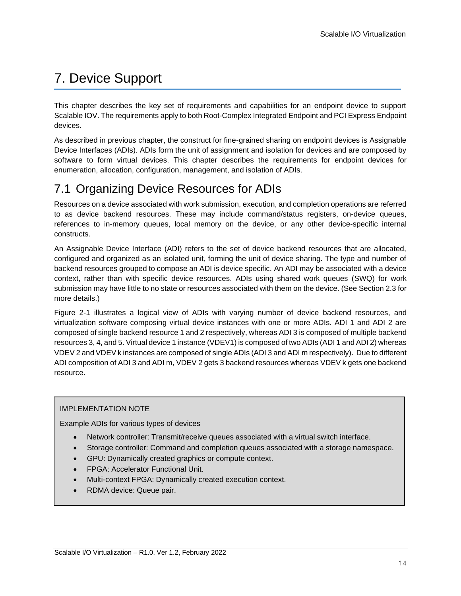# <span id="page-13-0"></span>7. Device Support

This chapter describes the key set of requirements and capabilities for an endpoint device to support Scalable IOV. The requirements apply to both Root-Complex Integrated Endpoint and PCI Express Endpoint devices.

As described in previous chapter, the construct for fine-grained sharing on endpoint devices is Assignable Device Interfaces (ADIs). ADIs form the unit of assignment and isolation for devices and are composed by software to form virtual devices. This chapter describes the requirements for endpoint devices for enumeration, allocation, configuration, management, and isolation of ADIs.

## <span id="page-13-1"></span>7.1 Organizing Device Resources for ADIs

Resources on a device associated with work submission, execution, and completion operations are referred to as device backend resources. These may include command/status registers, on-device queues, references to in-memory queues, local memory on the device, or any other device-specific internal constructs.

An Assignable Device Interface (ADI) refers to the set of device backend resources that are allocated, configured and organized as an isolated unit, forming the unit of device sharing. The type and number of backend resources grouped to compose an ADI is device specific. An ADI may be associated with a device context, rather than with specific device resources. ADIs using shared work queues (SWQ) for work submission may have little to no state or resources associated with them on the device. (See Section 2.3 for more details.)

[Figure](#page-15-1) 2-1 illustrates a logical view of ADIs with varying number of device backend resources, and virtualization software composing virtual device instances with one or more ADIs. ADI 1 and ADI 2 are composed of single backend resource 1 and 2 respectively, whereas ADI 3 is composed of multiple backend resources 3, 4, and 5. Virtual device 1 instance (VDEV1) is composed of two ADIs (ADI 1 and ADI 2) whereas VDEV 2 and VDEV k instances are composed of single ADIs (ADI 3 and ADI m respectively). Due to different ADI composition of ADI 3 and ADI m, VDEV 2 gets 3 backend resources whereas VDEV k gets one backend resource.

### IMPLEMENTATION NOTE

Example ADIs for various types of devices

- Network controller: Transmit/receive queues associated with a virtual switch interface.
- Storage controller: Command and completion queues associated with a storage namespace.
- GPU: Dynamically created graphics or compute context.
- FPGA: Accelerator Functional Unit.
- Multi-context FPGA: Dynamically created execution context.
- RDMA device: Queue pair.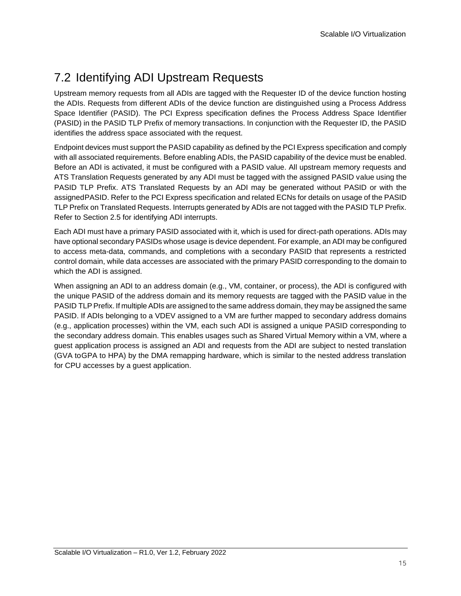## <span id="page-14-0"></span>7.2 Identifying ADI Upstream Requests

Upstream memory requests from all ADIs are tagged with the Requester ID of the device function hosting the ADIs. Requests from different ADIs of the device function are distinguished using a Process Address Space Identifier (PASID). The PCI Express specification defines the Process Address Space Identifier (PASID) in the PASID TLP Prefix of memory transactions. In conjunction with the Requester ID, the PASID identifies the address space associated with the request.

Endpoint devices must support the PASID capability as defined by the PCI Express specification and comply with all associated requirements. Before enabling ADIs, the PASID capability of the device must be enabled. Before an ADI is activated, it must be configured with a PASID value. All upstream memory requests and ATS Translation Requests generated by any ADI must be tagged with the assigned PASID value using the PASID TLP Prefix. ATS Translated Requests by an ADI may be generated without PASID or with the assignedPASID. Refer to the PCI Express specification and related ECNs for details on usage of the PASID TLP Prefix on Translated Requests. Interrupts generated by ADIs are not tagged with the PASID TLP Prefix. Refer to Section 2.5 for identifying ADI interrupts.

Each ADI must have a primary PASID associated with it, which is used for direct-path operations. ADIs may have optional secondary PASIDs whose usage is device dependent. For example, an ADI may be configured to access meta-data, commands, and completions with a secondary PASID that represents a restricted control domain, while data accesses are associated with the primary PASID corresponding to the domain to which the ADI is assigned.

When assigning an ADI to an address domain (e.g., VM, container, or process), the ADI is configured with the unique PASID of the address domain and its memory requests are tagged with the PASID value in the PASID TLP Prefix. If multiple ADIs are assigned to the same address domain, they may be assigned the same PASID. If ADIs belonging to a VDEV assigned to a VM are further mapped to secondary address domains (e.g., application processes) within the VM, each such ADI is assigned a unique PASID corresponding to the secondary address domain. This enables usages such as Shared Virtual Memory within a VM, where a guest application process is assigned an ADI and requests from the ADI are subject to nested translation (GVA toGPA to HPA) by the DMA remapping hardware, which is similar to the nested address translation for CPU accesses by a guest application.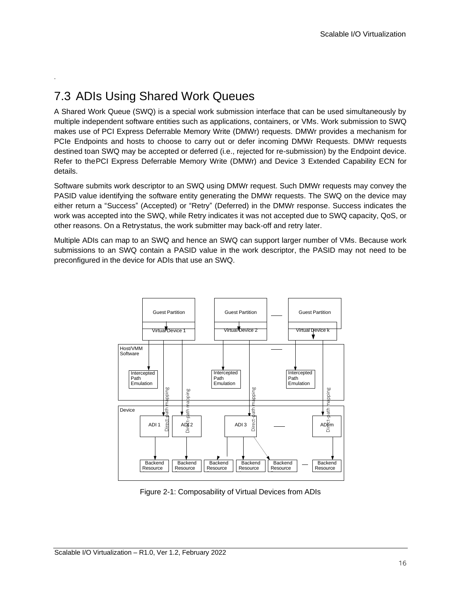## <span id="page-15-0"></span>7.3 ADIs Using Shared Work Queues

.

A Shared Work Queue (SWQ) is a special work submission interface that can be used simultaneously by multiple independent software entities such as applications, containers, or VMs. Work submission to SWQ makes use of PCI Express Deferrable Memory Write (DMWr) requests. DMWr provides a mechanism for PCIe Endpoints and hosts to choose to carry out or defer incoming DMWr Requests. DMWr requests destined toan SWQ may be accepted or deferred (i.e., rejected for re-submission) by the Endpoint device. Refer to thePCI Express Deferrable Memory Write (DMWr) and Device 3 Extended Capability ECN for details.

Software submits work descriptor to an SWQ using DMWr request. Such DMWr requests may convey the PASID value identifying the software entity generating the DMWr requests. The SWQ on the device may either return a "Success" (Accepted) or "Retry" (Deferred) in the DMWr response. Success indicates the work was accepted into the SWQ, while Retry indicates it was not accepted due to SWQ capacity, QoS, or other reasons. On a Retrystatus, the work submitter may back-off and retry later.

Multiple ADIs can map to an SWQ and hence an SWQ can support larger number of VMs. Because work submissions to an SWQ contain a PASID value in the work descriptor, the PASID may not need to be preconfigured in the device for ADIs that use an SWQ.



<span id="page-15-1"></span>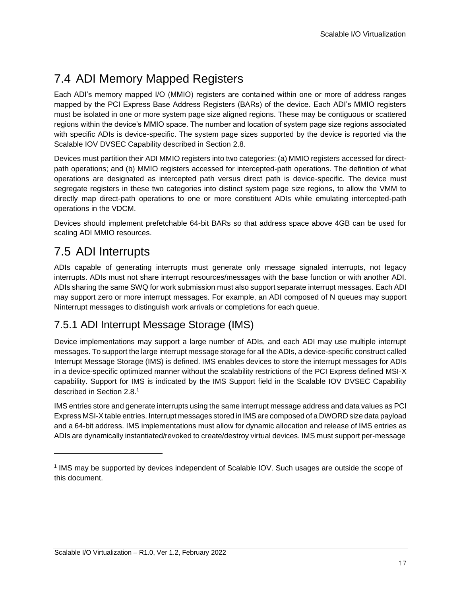## <span id="page-16-0"></span>7.4 ADI Memory Mapped Registers

Each ADI's memory mapped I/O (MMIO) registers are contained within one or more of address ranges mapped by the PCI Express Base Address Registers (BARs) of the device. Each ADI's MMIO registers must be isolated in one or more system page size aligned regions. These may be contiguous or scattered regions within the device's MMIO space. The number and location of system page size regions associated with specific ADIs is device-specific. The system page sizes supported by the device is reported via the Scalable IOV DVSEC Capability described in Section 2.8.

Devices must partition their ADI MMIO registers into two categories: (a) MMIO registers accessed for directpath operations; and (b) MMIO registers accessed for intercepted-path operations. The definition of what operations are designated as intercepted path versus direct path is device-specific. The device must segregate registers in these two categories into distinct system page size regions, to allow the VMM to directly map direct-path operations to one or more constituent ADIs while emulating intercepted-path operations in the VDCM.

Devices should implement prefetchable 64-bit BARs so that address space above 4GB can be used for scaling ADI MMIO resources.

## <span id="page-16-1"></span>7.5 ADI Interrupts

ADIs capable of generating interrupts must generate only message signaled interrupts, not legacy interrupts. ADIs must not share interrupt resources/messages with the base function or with another ADI. ADIs sharing the same SWQ for work submission must also support separate interrupt messages. Each ADI may support zero or more interrupt messages. For example, an ADI composed of N queues may support Ninterrupt messages to distinguish work arrivals or completions for each queue.

### <span id="page-16-2"></span>7.5.1 ADI Interrupt Message Storage (IMS)

Device implementations may support a large number of ADIs, and each ADI may use multiple interrupt messages. To support the large interrupt message storage for all the ADIs, a device-specific construct called Interrupt Message Storage (IMS) is defined. IMS enables devices to store the interrupt messages for ADIs in a device-specific optimized manner without the scalability restrictions of the PCI Express defined MSI-X capability. Support for IMS is indicated by the IMS Support field in the Scalable IOV DVSEC Capability described in Section 2.8[.](#page-16-3)<sup>1</sup>

IMS entries store and generate interrupts using the same interrupt message address and data values as PCI Express MSI-X table entries. Interrupt messages stored in IMS are composed of a DWORD size data payload and a 64-bit address. IMS implementations must allow for dynamic allocation and release of IMS entries as ADIs are dynamically instantiated/revoked to create/destroy virtual devices. IMS must support per-message

<span id="page-16-3"></span><sup>1</sup> IMS may be supported by devices independent of Scalable IOV. Such usages are outside the scope of this document.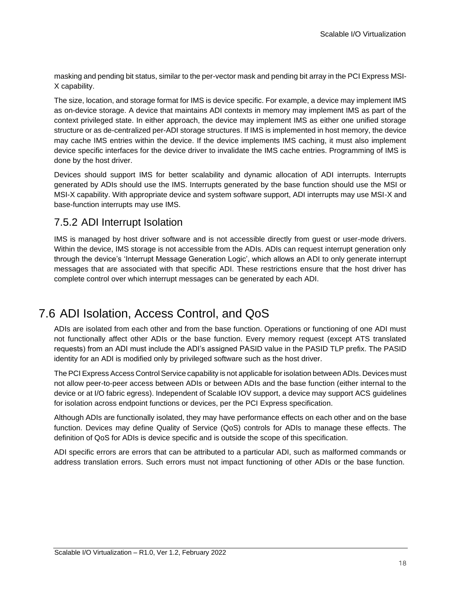masking and pending bit status, similar to the per-vector mask and pending bit array in the PCI Express MSI-X capability.

The size, location, and storage format for IMS is device specific. For example, a device may implement IMS as on-device storage. A device that maintains ADI contexts in memory may implement IMS as part of the context privileged state. In either approach, the device may implement IMS as either one unified storage structure or as de-centralized per-ADI storage structures. If IMS is implemented in host memory, the device may cache IMS entries within the device. If the device implements IMS caching, it must also implement device specific interfaces for the device driver to invalidate the IMS cache entries. Programming of IMS is done by the host driver.

Devices should support IMS for better scalability and dynamic allocation of ADI interrupts. Interrupts generated by ADIs should use the IMS. Interrupts generated by the base function should use the MSI or MSI-X capability. With appropriate device and system software support, ADI interrupts may use MSI-X and base-function interrupts may use IMS.

### <span id="page-17-0"></span>7.5.2 ADI Interrupt Isolation

IMS is managed by host driver software and is not accessible directly from guest or user-mode drivers. Within the device, IMS storage is not accessible from the ADIs. ADIs can request interrupt generation only through the device's 'Interrupt Message Generation Logic', which allows an ADI to only generate interrupt messages that are associated with that specific ADI. These restrictions ensure that the host driver has complete control over which interrupt messages can be generated by each ADI.

## <span id="page-17-1"></span>7.6 ADI Isolation, Access Control, and QoS

ADIs are isolated from each other and from the base function. Operations or functioning of one ADI must not functionally affect other ADIs or the base function. Every memory request (except ATS translated requests) from an ADI must include the ADI's assigned PASID value in the PASID TLP prefix. The PASID identity for an ADI is modified only by privileged software such as the host driver.

The PCI Express Access Control Service capability is not applicable for isolation between ADIs. Devices must not allow peer-to-peer access between ADIs or between ADIs and the base function (either internal to the device or at I/O fabric egress). Independent of Scalable IOV support, a device may support ACS guidelines for isolation across endpoint functions or devices, per the PCI Express specification.

Although ADIs are functionally isolated, they may have performance effects on each other and on the base function. Devices may define Quality of Service (QoS) controls for ADIs to manage these effects. The definition of QoS for ADIs is device specific and is outside the scope of this specification.

ADI specific errors are errors that can be attributed to a particular ADI, such as malformed commands or address translation errors. Such errors must not impact functioning of other ADIs or the base function.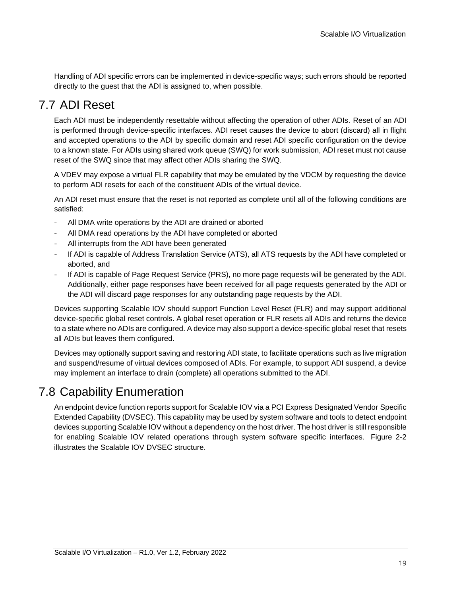Handling of ADI specific errors can be implemented in device-specific ways; such errors should be reported directly to the guest that the ADI is assigned to, when possible.

## <span id="page-18-0"></span>7.7 ADI Reset

Each ADI must be independently resettable without affecting the operation of other ADIs. Reset of an ADI is performed through device-specific interfaces. ADI reset causes the device to abort (discard) all in flight and accepted operations to the ADI by specific domain and reset ADI specific configuration on the device to a known state. For ADIs using shared work queue (SWQ) for work submission, ADI reset must not cause reset of the SWQ since that may affect other ADIs sharing the SWQ.

A VDEV may expose a virtual FLR capability that may be emulated by the VDCM by requesting the device to perform ADI resets for each of the constituent ADIs of the virtual device.

An ADI reset must ensure that the reset is not reported as complete until all of the following conditions are satisfied:

- All DMA write operations by the ADI are drained or aborted
- All DMA read operations by the ADI have completed or aborted
- All interrupts from the ADI have been generated
- If ADI is capable of Address Translation Service (ATS), all ATS requests by the ADI have completed or aborted, and
- If ADI is capable of Page Request Service (PRS), no more page requests will be generated by the ADI. Additionally, either page responses have been received for all page requests generated by the ADI or the ADI will discard page responses for any outstanding page requests by the ADI.

Devices supporting Scalable IOV should support Function Level Reset (FLR) and may support additional device-specific global reset controls. A global reset operation or FLR resets all ADIs and returns the device to a state where no ADIs are configured. A device may also support a device-specific global reset that resets all ADIs but leaves them configured.

Devices may optionally support saving and restoring ADI state, to facilitate operations such as live migration and suspend/resume of virtual devices composed of ADIs. For example, to support ADI suspend, a device may implement an interface to drain (complete) all operations submitted to the ADI.

### <span id="page-18-1"></span>7.8 Capability Enumeration

An endpoint device function reports support for Scalable IOV via a PCI Express Designated Vendor Specific Extended Capability (DVSEC). This capability may be used by system software and tools to detect endpoint devices supporting Scalable IOV without a dependency on the host driver. The host driver is still responsible for enabling Scalable IOV related operations through system software specific interfaces. [Figure 2-2](#page-19-0) illustrates the Scalable IOV DVSEC structure.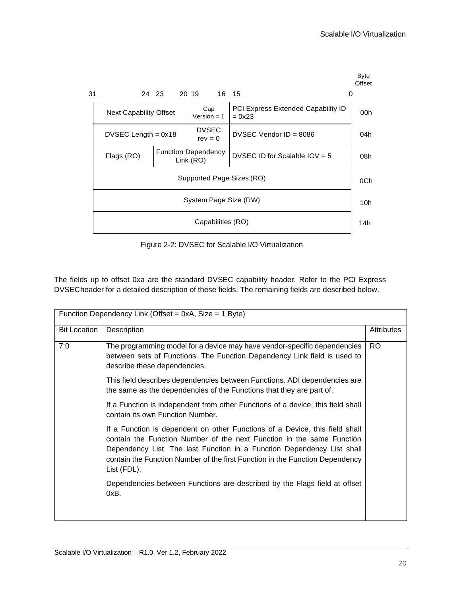

Figure 2-2: DVSEC for Scalable I/O Virtualization

<span id="page-19-0"></span>The fields up to offset 0xa are the standard DVSEC capability header. Refer to the PCI Express DVSECheader for a detailed description of these fields. The remaining fields are described below.

| Function Dependency Link (Offset = 0xA, Size = 1 Byte) |                                                                                                                                                                                                                                                                                                                               |            |
|--------------------------------------------------------|-------------------------------------------------------------------------------------------------------------------------------------------------------------------------------------------------------------------------------------------------------------------------------------------------------------------------------|------------|
| <b>Bit Location</b>                                    | Description                                                                                                                                                                                                                                                                                                                   | Attributes |
| 7:0                                                    | The programming model for a device may have vendor-specific dependencies<br>between sets of Functions. The Function Dependency Link field is used to<br>describe these dependencies.<br>This field describes dependencies between Functions. ADI dependencies are                                                             | RO.        |
|                                                        | the same as the dependencies of the Functions that they are part of.<br>If a Function is independent from other Functions of a device, this field shall<br>contain its own Function Number.                                                                                                                                   |            |
|                                                        | If a Function is dependent on other Functions of a Device, this field shall<br>contain the Function Number of the next Function in the same Function<br>Dependency List. The last Function in a Function Dependency List shall<br>contain the Function Number of the first Function in the Function Dependency<br>List (FDL). |            |
|                                                        | Dependencies between Functions are described by the Flags field at offset<br>0xB.                                                                                                                                                                                                                                             |            |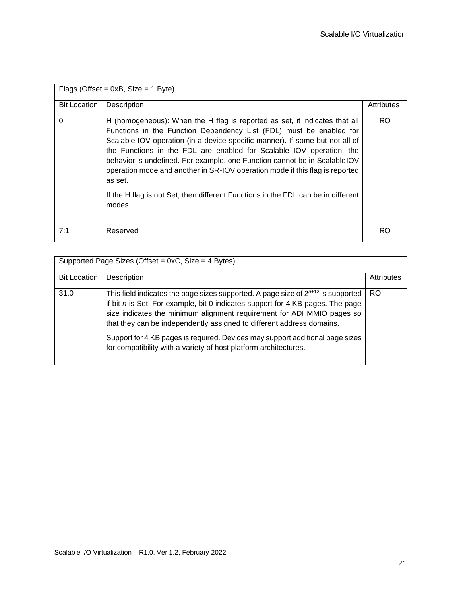| Flags (Offset = $0xB$ , Size = 1 Byte) |                                                                                                                                                                                                                                                                                                                                                                                                                                                                                                                                                                                   |                   |  |
|----------------------------------------|-----------------------------------------------------------------------------------------------------------------------------------------------------------------------------------------------------------------------------------------------------------------------------------------------------------------------------------------------------------------------------------------------------------------------------------------------------------------------------------------------------------------------------------------------------------------------------------|-------------------|--|
| <b>Bit Location</b>                    | Description                                                                                                                                                                                                                                                                                                                                                                                                                                                                                                                                                                       | <b>Attributes</b> |  |
| $\Omega$                               | H (homogeneous): When the H flag is reported as set, it indicates that all<br>Functions in the Function Dependency List (FDL) must be enabled for<br>Scalable IOV operation (in a device-specific manner). If some but not all of<br>the Functions in the FDL are enabled for Scalable IOV operation, the<br>behavior is undefined. For example, one Function cannot be in Scalable IOV<br>operation mode and another in SR-IOV operation mode if this flag is reported<br>as set.<br>If the H flag is not Set, then different Functions in the FDL can be in different<br>modes. | RO                |  |
| 7:1                                    | Reserved                                                                                                                                                                                                                                                                                                                                                                                                                                                                                                                                                                          | RO                |  |

| Supported Page Sizes (Offset = 0xC, Size = 4 Bytes) |                                                                                                                                                                                                                                                                                                                                                                                                                                                                                   |                   |  |
|-----------------------------------------------------|-----------------------------------------------------------------------------------------------------------------------------------------------------------------------------------------------------------------------------------------------------------------------------------------------------------------------------------------------------------------------------------------------------------------------------------------------------------------------------------|-------------------|--|
| <b>Bit Location</b>                                 | Description                                                                                                                                                                                                                                                                                                                                                                                                                                                                       | <b>Attributes</b> |  |
| 31:0                                                | This field indicates the page sizes supported. A page size of $2^{n+12}$ is supported<br>if bit $n$ is Set. For example, bit 0 indicates support for 4 KB pages. The page<br>size indicates the minimum alignment requirement for ADI MMIO pages so<br>that they can be independently assigned to different address domains.<br>Support for 4 KB pages is required. Devices may support additional page sizes<br>for compatibility with a variety of host platform architectures. | <b>RO</b>         |  |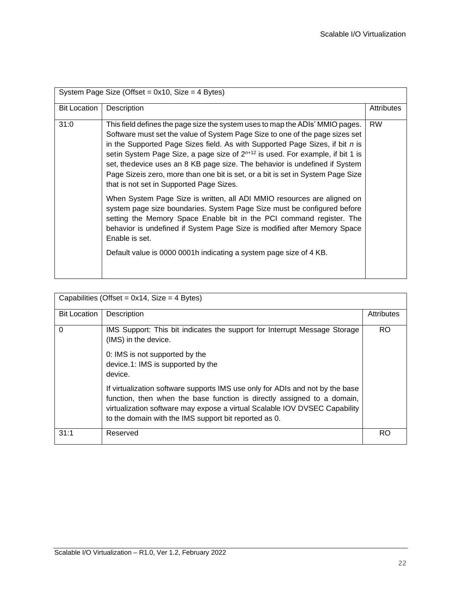| System Page Size (Offset = $0x10$ , Size = 4 Bytes) |                                                                                                                                                                                                                                                                                                                                                                                                                                                                                                                                                             |            |
|-----------------------------------------------------|-------------------------------------------------------------------------------------------------------------------------------------------------------------------------------------------------------------------------------------------------------------------------------------------------------------------------------------------------------------------------------------------------------------------------------------------------------------------------------------------------------------------------------------------------------------|------------|
| <b>Bit Location</b>                                 | Description                                                                                                                                                                                                                                                                                                                                                                                                                                                                                                                                                 | Attributes |
| 31:0                                                | This field defines the page size the system uses to map the ADIs' MMIO pages.<br>Software must set the value of System Page Size to one of the page sizes set<br>in the Supported Page Sizes field. As with Supported Page Sizes, if bit $n$ is<br>setin System Page Size, a page size of 2 <sup>n+12</sup> is used. For example, if bit 1 is<br>set, the device uses an 8 KB page size. The behavior is undefined if System<br>Page Sizeis zero, more than one bit is set, or a bit is set in System Page Size<br>that is not set in Supported Page Sizes. | <b>RW</b>  |
|                                                     | When System Page Size is written, all ADI MMIO resources are aligned on<br>system page size boundaries. System Page Size must be configured before<br>setting the Memory Space Enable bit in the PCI command register. The<br>behavior is undefined if System Page Size is modified after Memory Space<br>Enable is set.<br>Default value is 0000 0001h indicating a system page size of 4 KB.                                                                                                                                                              |            |

| Capabilities (Offset = $0x14$ , Size = 4 Bytes) |                                                                                                                                                                                                                                                                                                 |            |
|-------------------------------------------------|-------------------------------------------------------------------------------------------------------------------------------------------------------------------------------------------------------------------------------------------------------------------------------------------------|------------|
| <b>Bit Location</b>                             | Description                                                                                                                                                                                                                                                                                     | Attributes |
| $\Omega$                                        | IMS Support: This bit indicates the support for Interrupt Message Storage<br>(IMS) in the device.                                                                                                                                                                                               | <b>RO</b>  |
|                                                 | 0: IMS is not supported by the<br>device.1: IMS is supported by the<br>device.                                                                                                                                                                                                                  |            |
|                                                 | If virtualization software supports IMS use only for ADIs and not by the base<br>function, then when the base function is directly assigned to a domain,<br>virtualization software may expose a virtual Scalable IOV DVSEC Capability<br>to the domain with the IMS support bit reported as 0. |            |
| 31:1                                            | Reserved                                                                                                                                                                                                                                                                                        | RO         |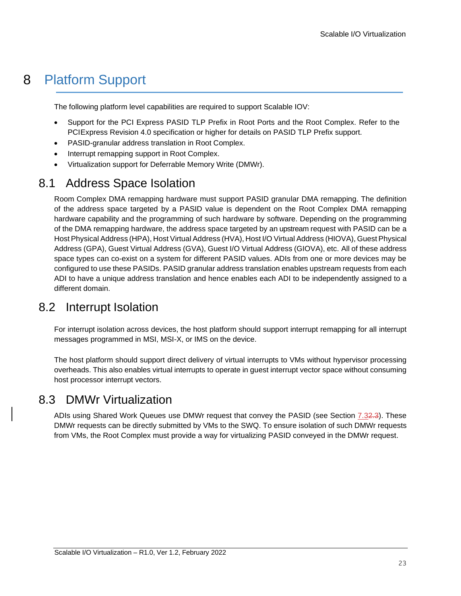## <span id="page-22-0"></span>8 Platform Support

The following platform level capabilities are required to support Scalable IOV:

- Support for the PCI Express PASID TLP Prefix in Root Ports and the Root Complex. Refer to the PCIExpress Revision 4.0 specification or higher for details on PASID TLP Prefix support.
- PASID-granular address translation in Root Complex.
- Interrupt remapping support in Root Complex.
- Virtualization support for Deferrable Memory Write (DMWr).

## <span id="page-22-1"></span>8.1 Address Space Isolation

Room Complex DMA remapping hardware must support PASID granular DMA remapping. The definition of the address space targeted by a PASID value is dependent on the Root Complex DMA remapping hardware capability and the programming of such hardware by software. Depending on the programming of the DMA remapping hardware, the address space targeted by an upstream request with PASID can be a Host Physical Address (HPA), Host Virtual Address (HVA), Host I/O Virtual Address (HIOVA), Guest Physical Address (GPA), Guest Virtual Address (GVA), Guest I/O Virtual Address (GIOVA), etc. All of these address space types can co-exist on a system for different PASID values. ADIs from one or more devices may be configured to use these PASIDs. PASID granular address translation enables upstream requests from each ADI to have a unique address translation and hence enables each ADI to be independently assigned to a different domain.

### <span id="page-22-2"></span>8.2 Interrupt Isolation

For interrupt isolation across devices, the host platform should support interrupt remapping for all interrupt messages programmed in MSI, MSI-X, or IMS on the device.

The host platform should support direct delivery of virtual interrupts to VMs without hypervisor processing overheads. This also enables virtual interrupts to operate in guest interrupt vector space without consuming host processor interrupt vectors.

### <span id="page-22-3"></span>8.3 DMWr Virtualization

ADIs using Shared Work Queues use DMWr request that convey the PASID (see Section [7.32.3\)](#page-15-0). These DMWr requests can be directly submitted by VMs to the SWQ. To ensure isolation of such DMWr requests from VMs, the Root Complex must provide a way for virtualizing PASID conveyed in the DMWr request.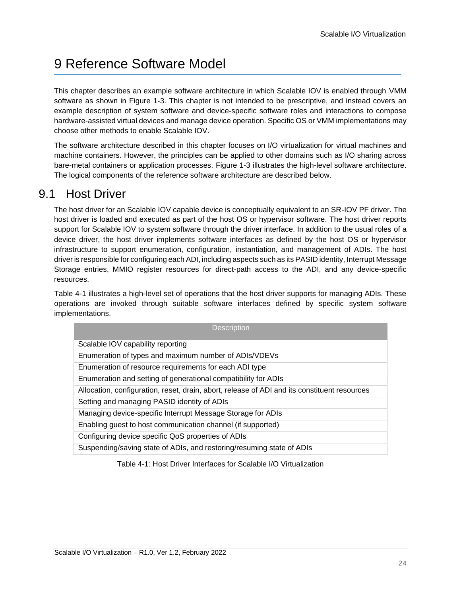## <span id="page-23-0"></span>9 Reference Software Model

This chapter describes an example software architecture in which Scalable IOV is enabled through VMM software as shown in [Figure 1-3. T](#page-12-1)his chapter is not intended to be prescriptive, and instead covers an example description of system software and device-specific software roles and interactions to compose hardware-assisted virtual devices and manage device operation. Specific OS or VMM implementations may choose other methods to enable Scalable IOV.

The software architecture described in this chapter focuses on I/O virtualization for virtual machines and machine containers. However, the principles can be applied to other domains such as I/O sharing across bare-metal containers or application processes. [Figure 1-3 il](#page-12-1)lustrates the high-level software architecture. The logical components of the reference software architecture are described below.

## <span id="page-23-1"></span>9.1 Host Driver

The host driver for an Scalable IOV capable device is conceptually equivalent to an SR-IOV PF driver. The host driver is loaded and executed as part of the host OS or hypervisor software. The host driver reports support for Scalable IOV to system software through the driver interface. In addition to the usual roles of a device driver, the host driver implements software interfaces as defined by the host OS or hypervisor infrastructure to support enumeration, configuration, instantiation, and management of ADIs. The host driver is responsible for configuring each ADI, including aspects such as its PASID identity, Interrupt Message Storage entries, MMIO register resources for direct-path access to the ADI, and any device-specific resources.

[Table 4-1 il](#page-23-2)lustrates a high-level set of operations that the host driver supports for managing ADIs. These operations are invoked through suitable software interfaces defined by specific system software implementations.

| <b>Description</b>                                                                           |
|----------------------------------------------------------------------------------------------|
| Scalable IOV capability reporting                                                            |
| Enumeration of types and maximum number of ADIs/VDEVs                                        |
| Enumeration of resource requirements for each ADI type                                       |
| Enumeration and setting of generational compatibility for ADIs                               |
| Allocation, configuration, reset, drain, abort, release of ADI and its constituent resources |
| Setting and managing PASID identity of ADIs                                                  |
| Managing device-specific Interrupt Message Storage for ADIs                                  |
| Enabling guest to host communication channel (if supported)                                  |
| Configuring device specific QoS properties of ADIs                                           |
| Suspending/saving state of ADIs, and restoring/resuming state of ADIs                        |

#### <span id="page-23-2"></span>Table 4-1: Host Driver Interfaces for Scalable I/O Virtualization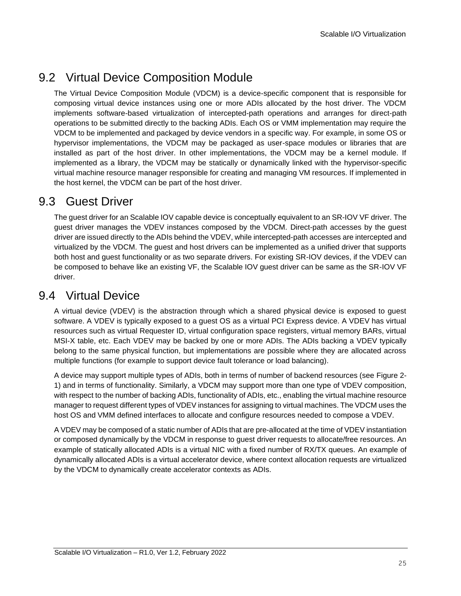## <span id="page-24-0"></span>9.2 Virtual Device Composition Module

The Virtual Device Composition Module (VDCM) is a device-specific component that is responsible for composing virtual device instances using one or more ADIs allocated by the host driver. The VDCM implements software-based virtualization of intercepted-path operations and arranges for direct-path operations to be submitted directly to the backing ADIs. Each OS or VMM implementation may require the VDCM to be implemented and packaged by device vendors in a specific way. For example, in some OS or hypervisor implementations, the VDCM may be packaged as user-space modules or libraries that are installed as part of the host driver. In other implementations, the VDCM may be a kernel module. If implemented as a library, the VDCM may be statically or dynamically linked with the hypervisor-specific virtual machine resource manager responsible for creating and managing VM resources. If implemented in the host kernel, the VDCM can be part of the host driver.

### <span id="page-24-1"></span>9.3 Guest Driver

The guest driver for an Scalable IOV capable device is conceptually equivalent to an SR-IOV VF driver. The guest driver manages the VDEV instances composed by the VDCM. Direct-path accesses by the guest driver are issued directly to the ADIs behind the VDEV, while intercepted-path accesses are intercepted and virtualized by the VDCM. The guest and host drivers can be implemented as a unified driver that supports both host and guest functionality or as two separate drivers. For existing SR-IOV devices, if the VDEV can be composed to behave like an existing VF, the Scalable IOV guest driver can be same as the SR-IOV VF driver.

### <span id="page-24-2"></span>9.4 Virtual Device

A virtual device (VDEV) is the abstraction through which a shared physical device is exposed to guest software. A VDEV is typically exposed to a guest OS as a virtual PCI Express device. A VDEV has virtual resources such as virtual Requester ID, virtual configuration space registers, virtual memory BARs, virtual MSI-X table, etc. Each VDEV may be backed by one or more ADIs. The ADIs backing a VDEV typically belong to the same physical function, but implementations are possible where they are allocated across multiple functions (for example to support device fault tolerance or load balancing).

A device may support multiple types of ADIs, both in terms of number of backend resources (see [Figure](#page-15-1) [2-](#page-15-1) [1\)](#page-15-1) and in terms of functionality. Similarly, a VDCM may support more than one type of VDEV composition, with respect to the number of backing ADIs, functionality of ADIs, etc., enabling the virtual machine resource manager to request different types of VDEV instances for assigning to virtual machines. The VDCM uses the host OS and VMM defined interfaces to allocate and configure resources needed to compose a VDEV.

A VDEV may be composed of a static number of ADIs that are pre-allocated at the time of VDEV instantiation or composed dynamically by the VDCM in response to guest driver requests to allocate/free resources. An example of statically allocated ADIs is a virtual NIC with a fixed number of RX/TX queues. An example of dynamically allocated ADIs is a virtual accelerator device, where context allocation requests are virtualized by the VDCM to dynamically create accelerator contexts as ADIs.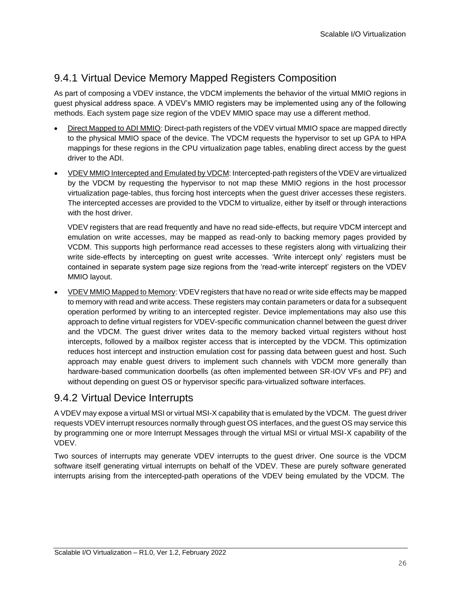## <span id="page-25-0"></span>9.4.1 Virtual Device Memory Mapped Registers Composition

As part of composing a VDEV instance, the VDCM implements the behavior of the virtual MMIO regions in guest physical address space. A VDEV's MMIO registers may be implemented using any of the following methods. Each system page size region of the VDEV MMIO space may use a different method.

- Direct Mapped to ADI MMIO: Direct-path registers of the VDEV virtual MMIO space are mapped directly to the physical MMIO space of the device. The VDCM requests the hypervisor to set up GPA to HPA mappings for these regions in the CPU virtualization page tables, enabling direct access by the guest driver to the ADI.
- VDEV MMIO Intercepted and Emulated by VDCM: Intercepted-path registers of the VDEV are virtualized by the VDCM by requesting the hypervisor to not map these MMIO regions in the host processor virtualization page-tables, thus forcing host intercepts when the guest driver accesses these registers. The intercepted accesses are provided to the VDCM to virtualize, either by itself or through interactions with the host driver.

VDEV registers that are read frequently and have no read side-effects, but require VDCM intercept and emulation on write accesses, may be mapped as read-only to backing memory pages provided by VCDM. This supports high performance read accesses to these registers along with virtualizing their write side-effects by intercepting on guest write accesses. 'Write intercept only' registers must be contained in separate system page size regions from the 'read-write intercept' registers on the VDEV MMIO layout.

• VDEV MMIO Mapped to Memory: VDEV registers that have no read or write side effects may be mapped to memory with read and write access. These registers may contain parameters or data for a subsequent operation performed by writing to an intercepted register. Device implementations may also use this approach to define virtual registers for VDEV-specific communication channel between the guest driver and the VDCM. The guest driver writes data to the memory backed virtual registers without host intercepts, followed by a mailbox register access that is intercepted by the VDCM. This optimization reduces host intercept and instruction emulation cost for passing data between guest and host. Such approach may enable guest drivers to implement such channels with VDCM more generally than hardware-based communication doorbells (as often implemented between SR-IOV VFs and PF) and without depending on guest OS or hypervisor specific para-virtualized software interfaces.

### <span id="page-25-1"></span>9.4.2 Virtual Device Interrupts

A VDEV may expose a virtual MSI or virtual MSI-X capability that is emulated by the VDCM. The guest driver requests VDEV interrupt resources normally through guest OS interfaces, and the guest OS may service this by programming one or more Interrupt Messages through the virtual MSI or virtual MSI-X capability of the VDEV.

Two sources of interrupts may generate VDEV interrupts to the guest driver. One source is the VDCM software itself generating virtual interrupts on behalf of the VDEV. These are purely software generated interrupts arising from the intercepted-path operations of the VDEV being emulated by the VDCM. The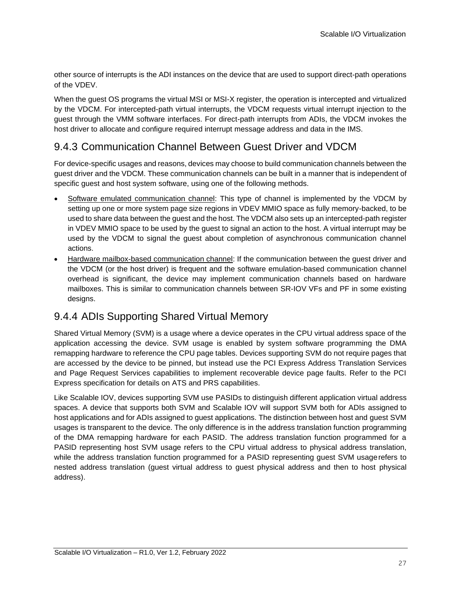other source of interrupts is the ADI instances on the device that are used to support direct-path operations of the VDEV.

When the guest OS programs the virtual MSI or MSI-X register, the operation is intercepted and virtualized by the VDCM. For intercepted-path virtual interrupts, the VDCM requests virtual interrupt injection to the guest through the VMM software interfaces. For direct-path interrupts from ADIs, the VDCM invokes the host driver to allocate and configure required interrupt message address and data in the IMS.

### <span id="page-26-0"></span>9.4.3 Communication Channel Between Guest Driver and VDCM

For device-specific usages and reasons, devices may choose to build communication channels between the guest driver and the VDCM. These communication channels can be built in a manner that is independent of specific guest and host system software, using one of the following methods.

- Software emulated communication channel: This type of channel is implemented by the VDCM by setting up one or more system page size regions in VDEV MMIO space as fully memory-backed, to be used to share data between the guest and the host. The VDCM also sets up an intercepted-path register in VDEV MMIO space to be used by the guest to signal an action to the host. A virtual interrupt may be used by the VDCM to signal the guest about completion of asynchronous communication channel actions.
- Hardware mailbox-based communication channel: If the communication between the guest driver and the VDCM (or the host driver) is frequent and the software emulation-based communication channel overhead is significant, the device may implement communication channels based on hardware mailboxes. This is similar to communication channels between SR-IOV VFs and PF in some existing designs.

### <span id="page-26-1"></span>9.4.4 ADIs Supporting Shared Virtual Memory

Shared Virtual Memory (SVM) is a usage where a device operates in the CPU virtual address space of the application accessing the device. SVM usage is enabled by system software programming the DMA remapping hardware to reference the CPU page tables. Devices supporting SVM do not require pages that are accessed by the device to be pinned, but instead use the PCI Express Address Translation Services and Page Request Services capabilities to implement recoverable device page faults. Refer to the PCI Express specification for details on ATS and PRS capabilities.

Like Scalable IOV, devices supporting SVM use PASIDs to distinguish different application virtual address spaces. A device that supports both SVM and Scalable IOV will support SVM both for ADIs assigned to host applications and for ADIs assigned to guest applications. The distinction between host and guest SVM usages is transparent to the device. The only difference is in the address translation function programming of the DMA remapping hardware for each PASID. The address translation function programmed for a PASID representing host SVM usage refers to the CPU virtual address to physical address translation, while the address translation function programmed for a PASID representing guest SVM usage refers to nested address translation (guest virtual address to guest physical address and then to host physical address).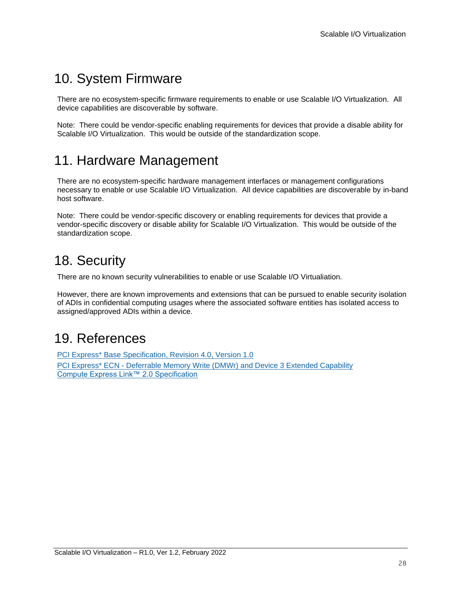## <span id="page-27-0"></span>10. System Firmware

There are no ecosystem-specific firmware requirements to enable or use Scalable I/O Virtualization. All device capabilities are discoverable by software.

Note: There could be vendor-specific enabling requirements for devices that provide a disable ability for Scalable I/O Virtualization. This would be outside of the standardization scope.

## <span id="page-27-1"></span>11. Hardware Management

There are no ecosystem-specific hardware management interfaces or management configurations necessary to enable or use Scalable I/O Virtualization. All device capabilities are discoverable by in-band host software.

Note: There could be vendor-specific discovery or enabling requirements for devices that provide a vendor-specific discovery or disable ability for Scalable I/O Virtualization. This would be outside of the standardization scope.

## <span id="page-27-2"></span>18. Security

There are no known security vulnerabilities to enable or use Scalable I/O Virtualiation.

However, there are known improvements and extensions that can be pursued to enable security isolation of ADIs in confidential computing usages where the associated software entities has isolated access to assigned/approved ADIs within a device.

## <span id="page-27-3"></span>19. References

PCI Express\* Base [Specification,](http://pcisig.com/specifications) Revision 4.0, Version 1.0 PCI Express\* ECN - [Deferrable](https://pcisig.com/specifications?field_document_type_value%5B%5D=ecn&speclib=DMWr) Memory Write (DMWr) and Device 3 Extended Capability [Compute Express Link™ 2.0 Specification](https://www.computeexpresslink.org/download-the-specification)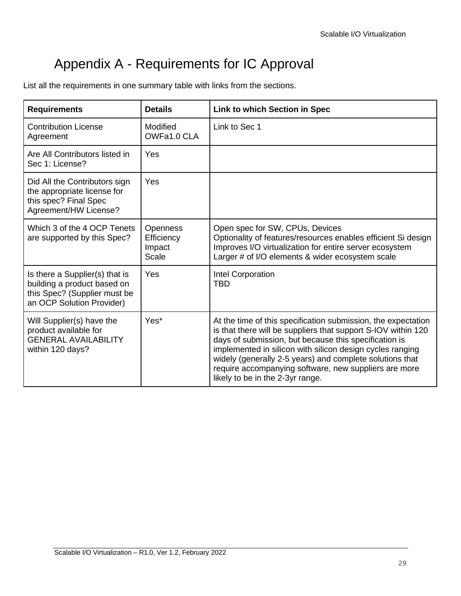# Appendix A - Requirements for IC Approval

<span id="page-28-0"></span>List all the requirements in one summary table with links from the sections.

| <b>Requirements</b>                                                                                                        | <b>Details</b>                            | <b>Link to which Section in Spec</b>                                                                                                                                                                                                                                                                                                                                                                          |
|----------------------------------------------------------------------------------------------------------------------------|-------------------------------------------|---------------------------------------------------------------------------------------------------------------------------------------------------------------------------------------------------------------------------------------------------------------------------------------------------------------------------------------------------------------------------------------------------------------|
| <b>Contribution License</b><br>Agreement                                                                                   | Modified<br>OWFa1.0 CLA                   | Link to Sec 1                                                                                                                                                                                                                                                                                                                                                                                                 |
| Are All Contributors listed in<br>Sec 1: License?                                                                          | Yes                                       |                                                                                                                                                                                                                                                                                                                                                                                                               |
| Did All the Contributors sign<br>the appropriate license for<br>this spec? Final Spec<br>Agreement/HW License?             | Yes                                       |                                                                                                                                                                                                                                                                                                                                                                                                               |
| Which 3 of the 4 OCP Tenets<br>are supported by this Spec?                                                                 | Openness<br>Efficiency<br>Impact<br>Scale | Open spec for SW, CPUs, Devices<br>Optionality of features/resources enables efficient Si design<br>Improves I/O virtualization for entire server ecosystem<br>Larger # of I/O elements & wider ecosystem scale                                                                                                                                                                                               |
| Is there a Supplier(s) that is<br>building a product based on<br>this Spec? (Supplier must be<br>an OCP Solution Provider) | Yes                                       | Intel Corporation<br><b>TBD</b>                                                                                                                                                                                                                                                                                                                                                                               |
| Will Supplier(s) have the<br>product available for<br><b>GENERAL AVAILABILITY</b><br>within 120 days?                      | Yes*                                      | At the time of this specification submission, the expectation<br>is that there will be suppliers that support S-IOV within 120<br>days of submission, but because this specification is<br>implemented in silicon with silicon design cycles ranging<br>widely (generally 2-5 years) and complete solutions that<br>require accompanying software, new suppliers are more<br>likely to be in the 2-3yr range. |